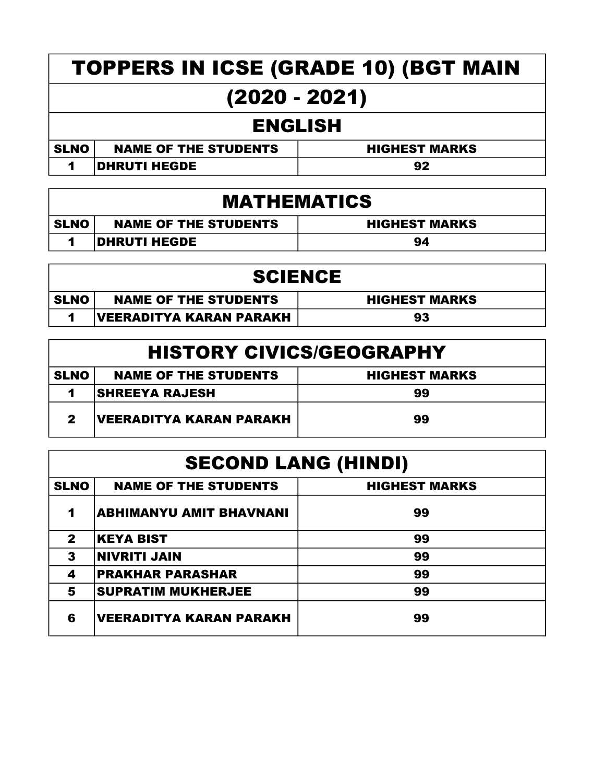# TOPPERS IN ICSE (GRADE 10) (BGT MAIN (2020 - 2021)

#### ENGLISH

| <b>SLNO</b> | <b>NAME OF THE STUDENTS</b> | <b>HIGHEST MARKS</b> |
|-------------|-----------------------------|----------------------|
|             | <b>DHRUTI HEGDE</b>         | 92                   |

#### MATHEMATICS

| SLNO | <b>NAME OF THE STUDENTS</b> | <b>HIGHEST MARKS</b> |
|------|-----------------------------|----------------------|
|      | <b>DHRUTI HEGDE</b>         | 94                   |

| <b>SCIENCE</b> |                             |                      |
|----------------|-----------------------------|----------------------|
| <b>SLNO</b>    | <b>NAME OF THE STUDENTS</b> | <b>HIGHEST MARKS</b> |
|                | VEERADITYA KARAN PARAKH     | 93                   |

| <b>HISTORY CIVICS/GEOGRAPHY</b> |                             |                      |
|---------------------------------|-----------------------------|----------------------|
| <b>SLNO</b>                     | <b>NAME OF THE STUDENTS</b> | <b>HIGHEST MARKS</b> |
|                                 | <b>SHREEYA RAJESH</b>       | 99                   |
| 2                               | VEERADITYA KARAN PARAKH     | 99                   |

| <b>SECOND LANG (HINDI)</b> |                                |                      |
|----------------------------|--------------------------------|----------------------|
| <b>SLNO</b>                | <b>NAME OF THE STUDENTS</b>    | <b>HIGHEST MARKS</b> |
| 1                          | <b>ABHIMANYU AMIT BHAVNANI</b> | 99                   |
| $\mathbf 2$                | <b>KEYA BIST</b>               | 99                   |
| 3                          | <b>NIVRITI JAIN</b>            | 99                   |
| 4                          | <b>PRAKHAR PARASHAR</b>        | 99                   |
| 5                          | <b>SUPRATIM MUKHERJEE</b>      | 99                   |
| 6                          | <b>VEERADITYA KARAN PARAKH</b> | 99                   |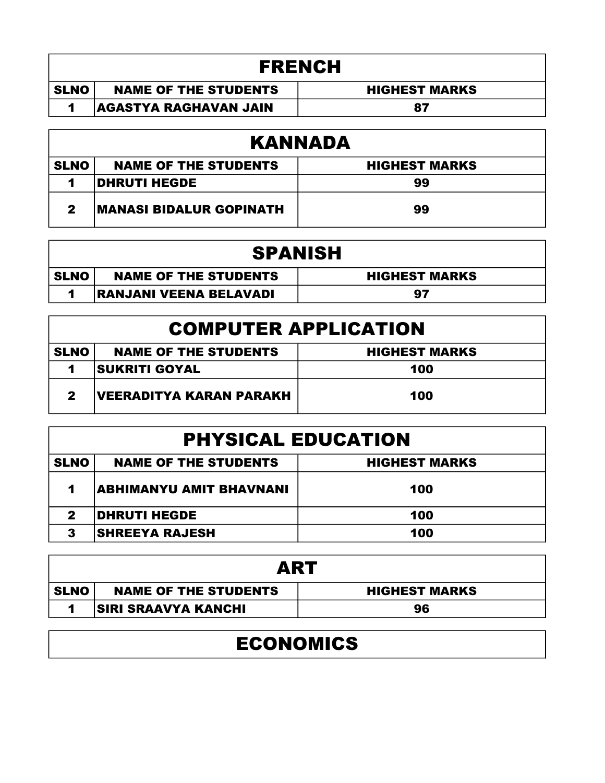| <b>FRENCH</b> |                              |                      |
|---------------|------------------------------|----------------------|
| <b>SLNO</b>   | <b>NAME OF THE STUDENTS</b>  | <b>HIGHEST MARKS</b> |
|               | <b>AGASTYA RAGHAVAN JAIN</b> | 87                   |
|               |                              |                      |

| KANNADA     |                                |                      |
|-------------|--------------------------------|----------------------|
| <b>SLNO</b> | <b>NAME OF THE STUDENTS</b>    | <b>HIGHEST MARKS</b> |
|             | <b>DHRUTI HEGDE</b>            | 99                   |
| 2           | <b>MANASI BIDALUR GOPINATH</b> | 99                   |

| <b>SPANISH</b> |                               |                      |
|----------------|-------------------------------|----------------------|
| <b>SLNO</b>    | <b>NAME OF THE STUDENTS</b>   | <b>HIGHEST MARKS</b> |
|                | <b>RANJANI VEENA BELAVADI</b> | 97                   |

### COMPUTER APPLICATION

| <b>SLNO</b> | <b>NAME OF THE STUDENTS</b>    | <b>HIGHEST MARKS</b> |
|-------------|--------------------------------|----------------------|
|             | <b>SUKRITI GOYAL</b>           | 100                  |
| 2           | <b>VEERADITYA KARAN PARAKH</b> | 100                  |

| <b>PHYSICAL EDUCATION</b>                                          |                         |     |
|--------------------------------------------------------------------|-------------------------|-----|
| <b>SLNO</b><br><b>NAME OF THE STUDENTS</b><br><b>HIGHEST MARKS</b> |                         |     |
| 1                                                                  | ABHIMANYU AMIT BHAVNANI | 100 |
| 2                                                                  | <b>DHRUTI HEGDE</b>     | 100 |
| 3                                                                  | <b>SHREEYA RAJESH</b>   | 100 |

| ART         |                             |                      |
|-------------|-----------------------------|----------------------|
| <b>SLNO</b> | <b>NAME OF THE STUDENTS</b> | <b>HIGHEST MARKS</b> |
|             | <b>SIRI SRAAVYA KANCHI</b>  | 96                   |

## ECONOMICS